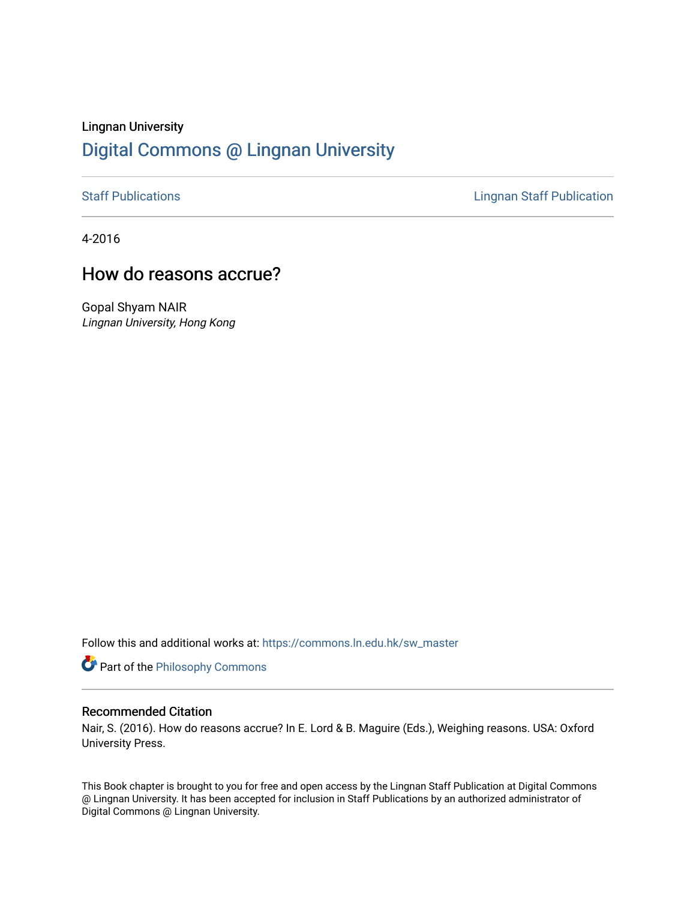# Lingnan University [Digital Commons @ Lingnan University](https://commons.ln.edu.hk/)

[Staff Publications](https://commons.ln.edu.hk/sw_master) **Staff Publications Lingnan Staff Publication** 

4-2016

# How do reasons accrue?

Gopal Shyam NAIR Lingnan University, Hong Kong

Follow this and additional works at: [https://commons.ln.edu.hk/sw\\_master](https://commons.ln.edu.hk/sw_master?utm_source=commons.ln.edu.hk%2Fsw_master%2F3104&utm_medium=PDF&utm_campaign=PDFCoverPages) 

**Part of the Philosophy Commons** 

# Recommended Citation

Nair, S. (2016). How do reasons accrue? In E. Lord & B. Maguire (Eds.), Weighing reasons. USA: Oxford University Press.

This Book chapter is brought to you for free and open access by the Lingnan Staff Publication at Digital Commons @ Lingnan University. It has been accepted for inclusion in Staff Publications by an authorized administrator of Digital Commons @ Lingnan University.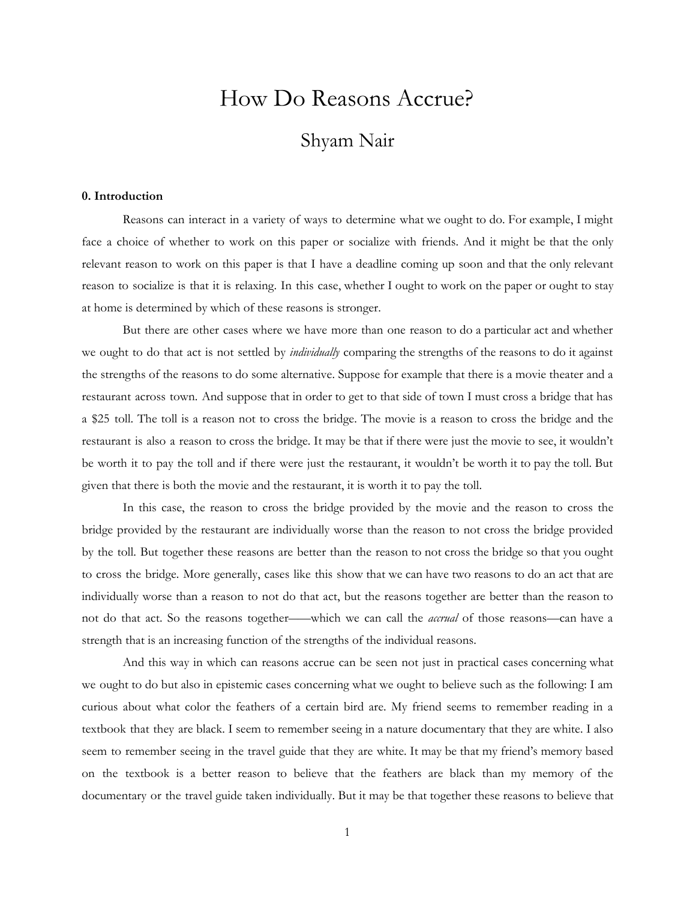# How Do Reasons Accrue?

# Shyam Nair

## **0. Introduction**

Reasons can interact in a variety of ways to determine what we ought to do. For example, I might face a choice of whether to work on this paper or socialize with friends. And it might be that the only relevant reason to work on this paper is that I have a deadline coming up soon and that the only relevant reason to socialize is that it is relaxing. In this case, whether I ought to work on the paper or ought to stay at home is determined by which of these reasons is stronger.

But there are other cases where we have more than one reason to do a particular act and whether we ought to do that act is not settled by *individually* comparing the strengths of the reasons to do it against the strengths of the reasons to do some alternative. Suppose for example that there is a movie theater and a restaurant across town. And suppose that in order to get to that side of town I must cross a bridge that has a \$25 toll. The toll is a reason not to cross the bridge. The movie is a reason to cross the bridge and the restaurant is also a reason to cross the bridge. It may be that if there were just the movie to see, it wouldn't be worth it to pay the toll and if there were just the restaurant, it wouldn't be worth it to pay the toll. But given that there is both the movie and the restaurant, it is worth it to pay the toll.

In this case, the reason to cross the bridge provided by the movie and the reason to cross the bridge provided by the restaurant are individually worse than the reason to not cross the bridge provided by the toll. But together these reasons are better than the reason to not cross the bridge so that you ought to cross the bridge. More generally, cases like this show that we can have two reasons to do an act that are individually worse than a reason to not do that act, but the reasons together are better than the reason to not do that act. So the reasons together―—which we can call the *accrual* of those reasons—can have a strength that is an increasing function of the strengths of the individual reasons.

And this way in which can reasons accrue can be seen not just in practical cases concerning what we ought to do but also in epistemic cases concerning what we ought to believe such as the following: I am curious about what color the feathers of a certain bird are. My friend seems to remember reading in a textbook that they are black. I seem to remember seeing in a nature documentary that they are white. I also seem to remember seeing in the travel guide that they are white. It may be that my friend's memory based on the textbook is a better reason to believe that the feathers are black than my memory of the documentary or the travel guide taken individually. But it may be that together these reasons to believe that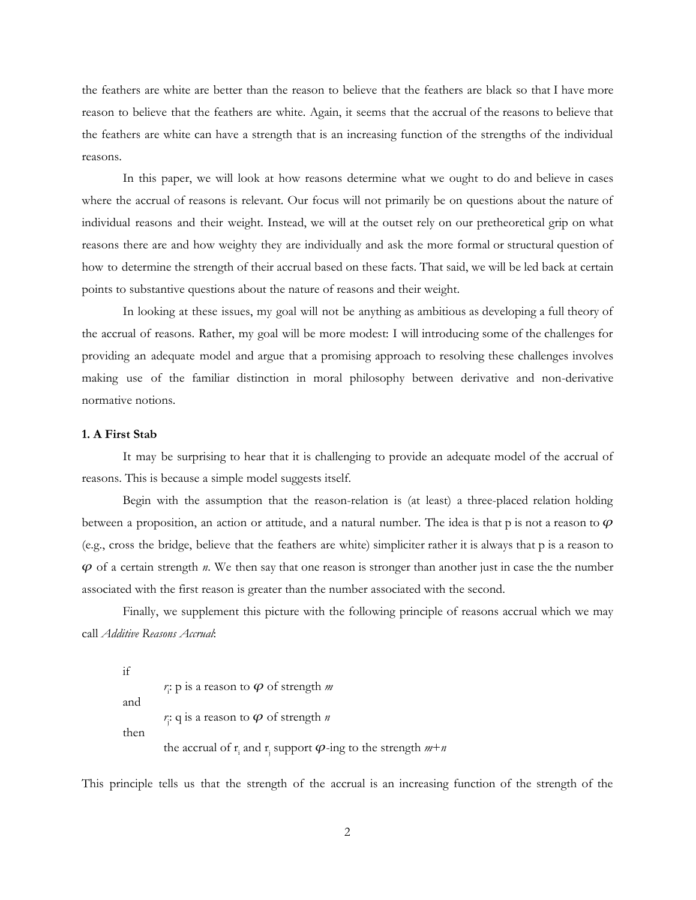the feathers are white are better than the reason to believe that the feathers are black so that I have more reason to believe that the feathers are white. Again, it seems that the accrual of the reasons to believe that the feathers are white can have a strength that is an increasing function of the strengths of the individual reasons.

In this paper, we will look at how reasons determine what we ought to do and believe in cases where the accrual of reasons is relevant. Our focus will not primarily be on questions about the nature of individual reasons and their weight. Instead, we will at the outset rely on our pretheoretical grip on what reasons there are and how weighty they are individually and ask the more formal or structural question of how to determine the strength of their accrual based on these facts. That said, we will be led back at certain points to substantive questions about the nature of reasons and their weight.

In looking at these issues, my goal will not be anything as ambitious as developing a full theory of the accrual of reasons. Rather, my goal will be more modest: I will introducing some of the challenges for providing an adequate model and argue that a promising approach to resolving these challenges involves making use of the familiar distinction in moral philosophy between derivative and non-derivative normative notions.

# **1. A First Stab**

It may be surprising to hear that it is challenging to provide an adequate model of the accrual of reasons. This is because a simple model suggests itself.

Begin with the assumption that the reason-relation is (at least) a three-placed relation holding between a proposition, an action or attitude, and a natural number. The idea is that p is not a reason to  $\varphi$ (e.g., cross the bridge, believe that the feathers are white) simpliciter rather it is always that p is a reason to  $\varphi$  of a certain strength  $n$ . We then say that one reason is stronger than another just in case the the number associated with the first reason is greater than the number associated with the second.

Finally, we supplement this picture with the following principle of reasons accrual which we may call *Additive Reasons Accrual*:

if *r* i : p is a reason to ᵱ of strength *m* and  $r$ <sup>2</sup>; q is a reason to  $\varphi$  of strength *n* then the accrual of  $\mathbf{r}_i$  and  $\mathbf{r}_j$  support  $\boldsymbol{\varphi}$ -ing to the strength  $m+n$ 

This principle tells us that the strength of the accrual is an increasing function of the strength of the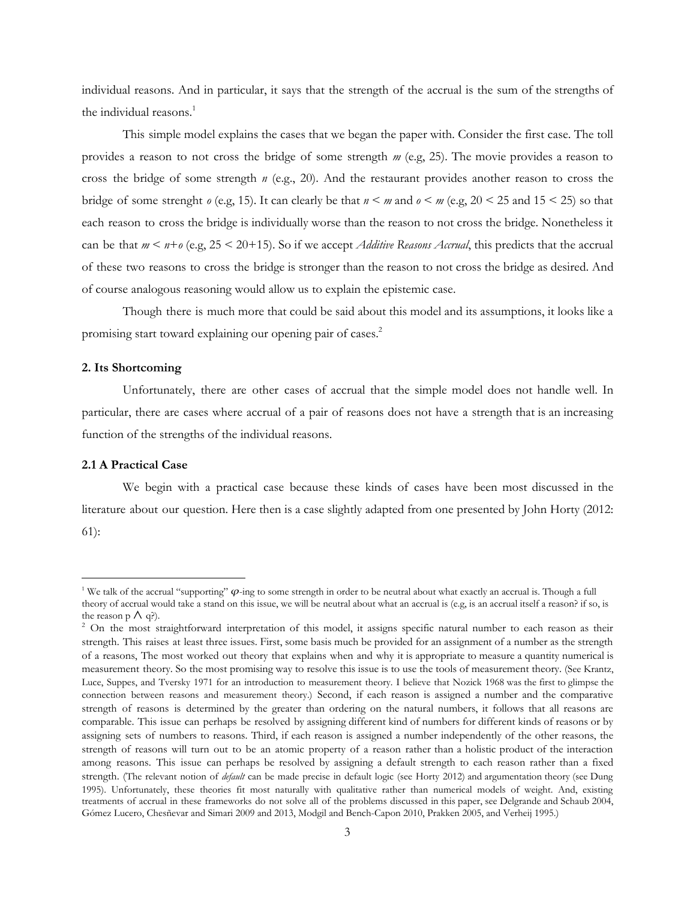individual reasons. And in particular, it says that the strength of the accrual is the sum of the strengths of the individual reasons. 1

This simple model explains the cases that we began the paper with. Consider the first case. The toll provides a reason to not cross the bridge of some strength *m* (e.g, 25). The movie provides a reason to cross the bridge of some strength *n* (e.g., 20). And the restaurant provides another reason to cross the bridge of some strenght  $o$  (e.g, 15). It can clearly be that  $n < m$  and  $o < m$  (e.g, 20 < 25 and 15 < 25) so that each reason to cross the bridge is individually worse than the reason to not cross the bridge. Nonetheless it can be that  $m \leq n + o$  (e.g,  $25 \leq 20 + 15$ ). So if we accept *Additive Reasons Accrual*, this predicts that the accrual of these two reasons to cross the bridge is stronger than the reason to not cross the bridge as desired. And of course analogous reasoning would allow us to explain the epistemic case.

Though there is much more that could be said about this model and its assumptions, it looks like a promising start toward explaining our opening pair of cases. 2

# **2. Its Shortcoming**

Unfortunately, there are other cases of accrual that the simple model does not handle well. In particular, there are cases where accrual of a pair of reasons does not have a strength that is an increasing function of the strengths of the individual reasons.

#### **2.1 A Practical Case**

We begin with a practical case because these kinds of cases have been most discussed in the literature about our question. Here then is a case slightly adapted from one presented by John Horty (2012: 61):

<sup>&</sup>lt;sup>1</sup> We talk of the accrual "supporting"  $\varphi$ -ing to some strength in order to be neutral about what exactly an accrual is. Though a full theory of accrual would take a stand on this issue, we will be neutral about what an accrual is (e.g, is an accrual itself a reason? if so, is the reason  $p \wedge q$ ?).

<sup>&</sup>lt;sup>2</sup> On the most straightforward interpretation of this model, it assigns specific natural number to each reason as their strength. This raises at least three issues. First, some basis much be provided for an assignment of a number as the strength of a reasons, The most worked out theory that explains when and why it is appropriate to measure a quantity numerical is measurement theory. So the most promising way to resolve this issue is to use the tools of measurement theory. (See Krantz, Luce, Suppes, and Tversky 1971 for an introduction to measurement theory. I believe that Nozick 1968 was the first to glimpse the connection between reasons and measurement theory.) Second, if each reason is assigned a number and the comparative strength of reasons is determined by the greater than ordering on the natural numbers, it follows that all reasons are comparable. This issue can perhaps be resolved by assigning different kind of numbers for different kinds of reasons or by assigning sets of numbers to reasons. Third, if each reason is assigned a number independently of the other reasons, the strength of reasons will turn out to be an atomic property of a reason rather than a holistic product of the interaction among reasons. This issue can perhaps be resolved by assigning a default strength to each reason rather than a fixed strength. (The relevant notion of *default* can be made precise in default logic (see Horty 2012) and argumentation theory (see Dung 1995). Unfortunately, these theories fit most naturally with qualitative rather than numerical models of weight. And, existing treatments of accrual in these frameworks do not solve all of the problems discussed in this paper, see Delgrande and Schaub 2004, Gómez Lucero, Chesñevar and Simari 2009 and 2013, Modgil and Bench-Capon 2010, Prakken 2005, and Verheij 1995.)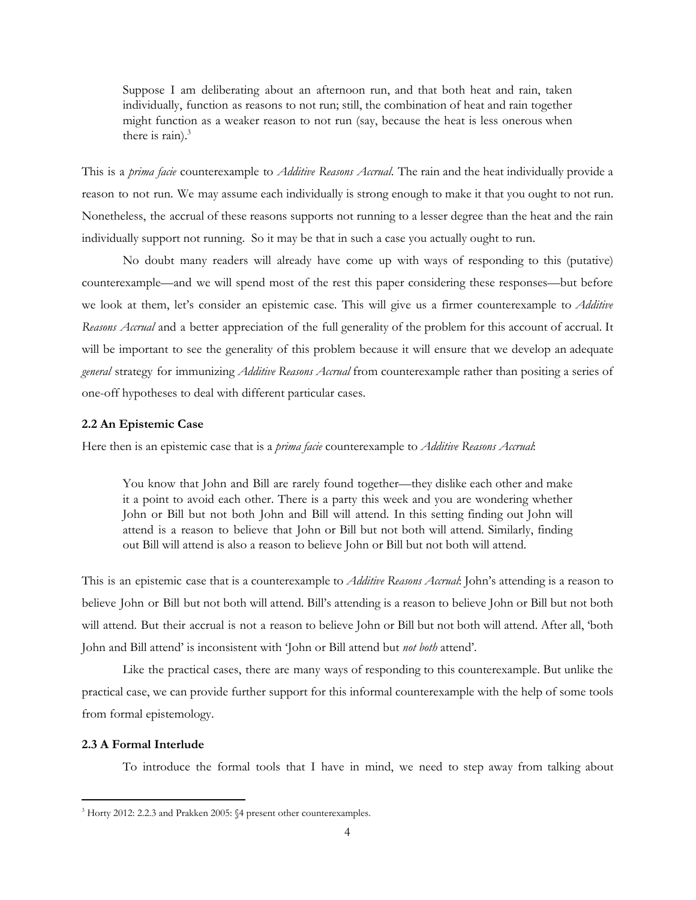Suppose I am deliberating about an afternoon run, and that both heat and rain, taken individually, function as reasons to not run; still, the combination of heat and rain together might function as a weaker reason to not run (say, because the heat is less onerous when there is rain). $3$ 

This is a *prima facie* counterexample to *Additive Reasons Accrual*. The rain and the heat individually provide a reason to not run. We may assume each individually is strong enough to make it that you ought to not run. Nonetheless, the accrual of these reasons supports not running to a lesser degree than the heat and the rain individually support not running. So it may be that in such a case you actually ought to run.

No doubt many readers will already have come up with ways of responding to this (putative) counterexample—and we will spend most of the rest this paper considering these responses—but before we look at them, let's consider an epistemic case. This will give us a firmer counterexample to *Additive Reasons Accrual* and a better appreciation of the full generality of the problem for this account of accrual. It will be important to see the generality of this problem because it will ensure that we develop an adequate *general* strategy for immunizing *Additive Reasons Accrual* from counterexample rather than positing a series of one-off hypotheses to deal with different particular cases.

# **2.2 An Epistemic Case**

Here then is an epistemic case that is a *prima facie* counterexample to *Additive Reasons Accrual*:

You know that John and Bill are rarely found together—they dislike each other and make it a point to avoid each other. There is a party this week and you are wondering whether John or Bill but not both John and Bill will attend. In this setting finding out John will attend is a reason to believe that John or Bill but not both will attend. Similarly, finding out Bill will attend is also a reason to believe John or Bill but not both will attend.

This is an epistemic case that is a counterexample to *Additive Reasons Accrual*: John's attending is a reason to believe John or Bill but not both will attend. Bill's attending is a reason to believe John or Bill but not both will attend. But their accrual is not a reason to believe John or Bill but not both will attend. After all, 'both John and Bill attend' is inconsistent with 'John or Bill attend but *not both* attend'.

Like the practical cases, there are many ways of responding to this counterexample. But unlike the practical case, we can provide further support for this informal counterexample with the help of some tools from formal epistemology.

#### **2.3 A Formal Interlude**

To introduce the formal tools that I have in mind, we need to step away from talking about

<sup>&</sup>lt;sup>3</sup> Horty 2012: 2.2.3 and Prakken 2005: §4 present other counterexamples.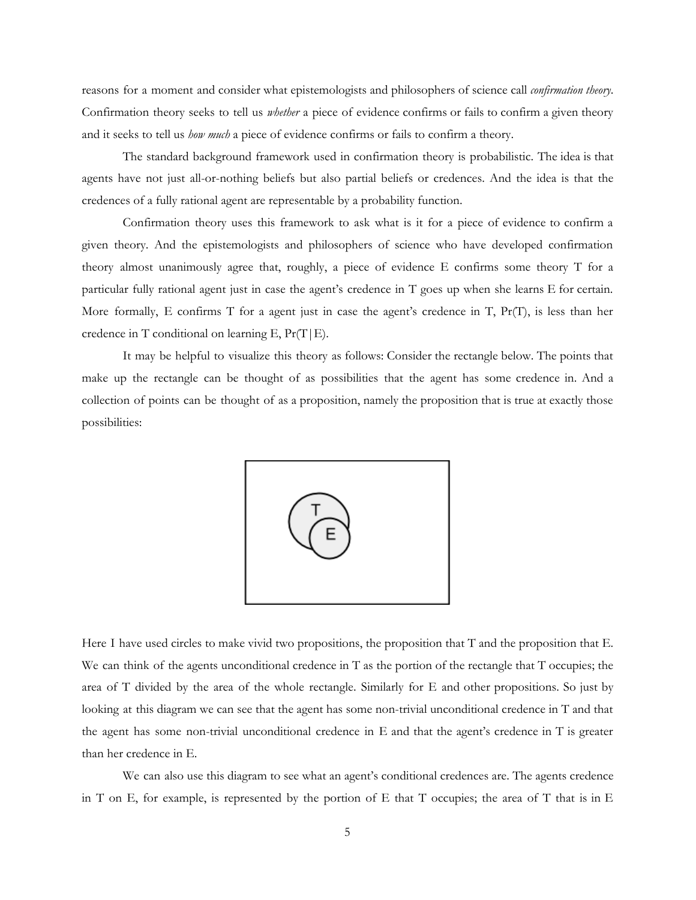reasons for a moment and consider what epistemologists and philosophers of science call *confirmation theory*. Confirmation theory seeks to tell us *whether* a piece of evidence confirms or fails to confirm a given theory and it seeks to tell us *how much* a piece of evidence confirms or fails to confirm a theory.

The standard background framework used in confirmation theory is probabilistic. The idea is that agents have not just all-or-nothing beliefs but also partial beliefs or credences. And the idea is that the credences of a fully rational agent are representable by a probability function.

Confirmation theory uses this framework to ask what is it for a piece of evidence to confirm a given theory. And the epistemologists and philosophers of science who have developed confirmation theory almost unanimously agree that, roughly, a piece of evidence E confirms some theory T for a particular fully rational agent just in case the agent's credence in T goes up when she learns E for certain. More formally, E confirms  $T$  for a agent just in case the agent's credence in  $T$ ,  $Pr(T)$ , is less than her credence in T conditional on learning E,  $Pr(T|E)$ .

It may be helpful to visualize this theory as follows: Consider the rectangle below. The points that make up the rectangle can be thought of as possibilities that the agent has some credence in. And a collection of points can be thought of as a proposition, namely the proposition that is true at exactly those possibilities:



Here I have used circles to make vivid two propositions, the proposition that T and the proposition that E. We can think of the agents unconditional credence in T as the portion of the rectangle that T occupies; the area of T divided by the area of the whole rectangle. Similarly for E and other propositions. So just by looking at this diagram we can see that the agent has some non-trivial unconditional credence in T and that the agent has some non-trivial unconditional credence in E and that the agent's credence in T is greater than her credence in E.

We can also use this diagram to see what an agent's conditional credences are. The agents credence in T on E, for example, is represented by the portion of E that T occupies; the area of T that is in E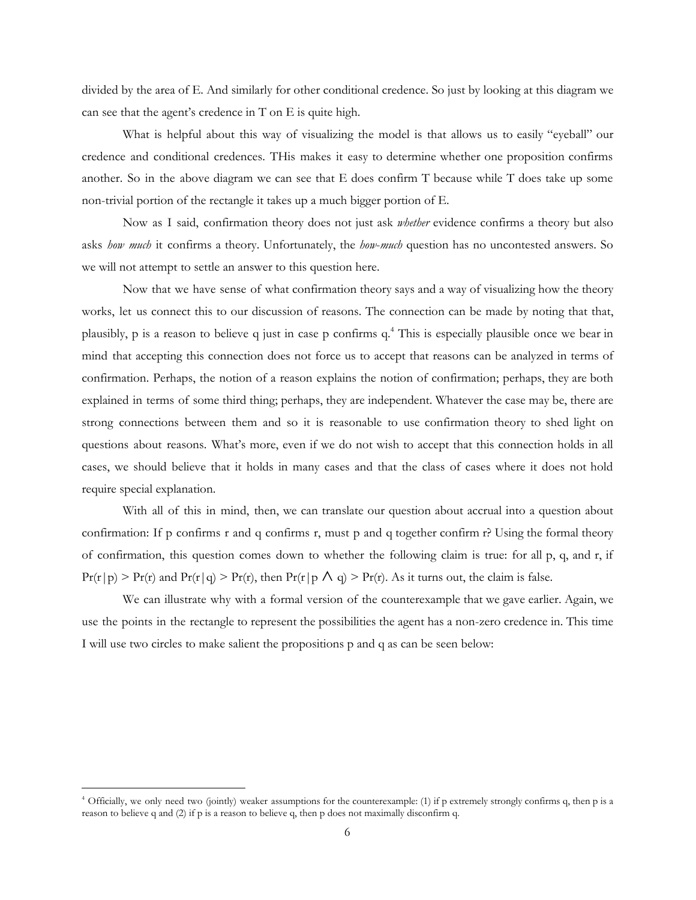divided by the area of E. And similarly for other conditional credence. So just by looking at this diagram we can see that the agent's credence in T on E is quite high.

What is helpful about this way of visualizing the model is that allows us to easily "eyeball" our credence and conditional credences. THis makes it easy to determine whether one proposition confirms another. So in the above diagram we can see that E does confirm T because while T does take up some non-trivial portion of the rectangle it takes up a much bigger portion of E.

Now as I said, confirmation theory does not just ask *whether* evidence confirms a theory but also asks *how much* it confirms a theory. Unfortunately, the *how*-*much* question has no uncontested answers. So we will not attempt to settle an answer to this question here.

Now that we have sense of what confirmation theory says and a way of visualizing how the theory works, let us connect this to our discussion of reasons. The connection can be made by noting that that, plausibly, p is a reason to believe q just in case p confirms q.<sup>4</sup> This is especially plausible once we bear in mind that accepting this connection does not force us to accept that reasons can be analyzed in terms of confirmation. Perhaps, the notion of a reason explains the notion of confirmation; perhaps, they are both explained in terms of some third thing; perhaps, they are independent. Whatever the case may be, there are strong connections between them and so it is reasonable to use confirmation theory to shed light on questions about reasons. What's more, even if we do not wish to accept that this connection holds in all cases, we should believe that it holds in many cases and that the class of cases where it does not hold require special explanation.

With all of this in mind, then, we can translate our question about accrual into a question about confirmation: If p confirms r and q confirms r, must p and q together confirm r? Using the formal theory of confirmation, this question comes down to whether the following claim is true: for all p, q, and r, if  $Pr(r|p)$  >  $Pr(r)$  and  $Pr(r|q)$  >  $Pr(r)$ , then  $Pr(r|p \wedge q)$  >  $Pr(r)$ . As it turns out, the claim is false.

We can illustrate why with a formal version of the counterexample that we gave earlier. Again, we use the points in the rectangle to represent the possibilities the agent has a non-zero credence in. This time I will use two circles to make salient the propositions p and q as can be seen below:

<sup>4</sup> Officially, we only need two (jointly) weaker assumptions for the counterexample: (1) if p extremely strongly confirms q, then p is a reason to believe q and (2) if p is a reason to believe q, then p does not maximally disconfirm q.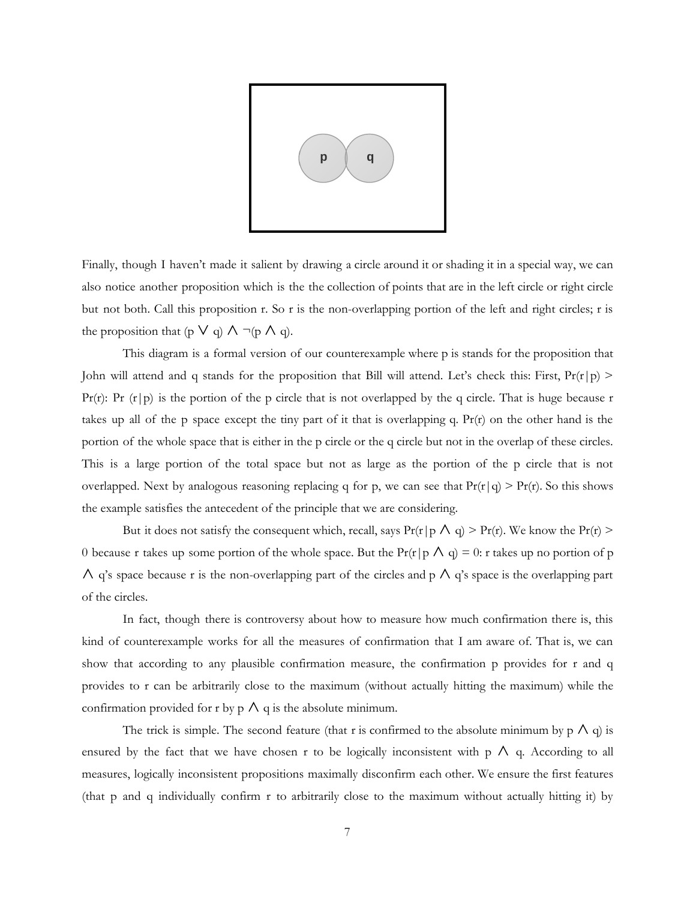

Finally, though I haven't made it salient by drawing a circle around it or shading it in a special way, we can also notice another proposition which is the the collection of points that are in the left circle or right circle but not both. Call this proposition r. So r is the non-overlapping portion of the left and right circles; r is the proposition that (p  $\vee$  q)  $\wedge \neg (p \wedge q)$ .

This diagram is a formal version of our counterexample where p is stands for the proposition that John will attend and q stands for the proposition that Bill will attend. Let's check this: First,  $Pr(r|p)$  > Pr(r): Pr  $(r|p)$  is the portion of the p circle that is not overlapped by the q circle. That is huge because r takes up all of the p space except the tiny part of it that is overlapping q.  $Pr(r)$  on the other hand is the portion of the whole space that is either in the p circle or the q circle but not in the overlap of these circles. This is a large portion of the total space but not as large as the portion of the p circle that is not overlapped. Next by analogous reasoning replacing q for p, we can see that  $Pr(r|q) > Pr(r)$ . So this shows the example satisfies the antecedent of the principle that we are considering.

But it does not satisfy the consequent which, recall, says  $Pr(r|p \wedge q) > Pr(r)$ . We know the  $Pr(r)$ 0 because r takes up some portion of the whole space. But the Pr(r|p  $\Lambda$  q) = 0: r takes up no portion of p  $\wedge$  q's space because r is the non-overlapping part of the circles and p  $\wedge$  q's space is the overlapping part of the circles.

In fact, though there is controversy about how to measure how much confirmation there is, this kind of counterexample works for all the measures of confirmation that I am aware of. That is, we can show that according to any plausible confirmation measure, the confirmation p provides for r and q provides to r can be arbitrarily close to the maximum (without actually hitting the maximum) while the confirmation provided for r by  $\rho \wedge q$  is the absolute minimum.

The trick is simple. The second feature (that r is confirmed to the absolute minimum by  $p \wedge q$ ) is ensured by the fact that we have chosen r to be logically inconsistent with  $p \wedge q$ . According to all measures, logically inconsistent propositions maximally disconfirm each other. We ensure the first features (that p and q individually confirm r to arbitrarily close to the maximum without actually hitting it) by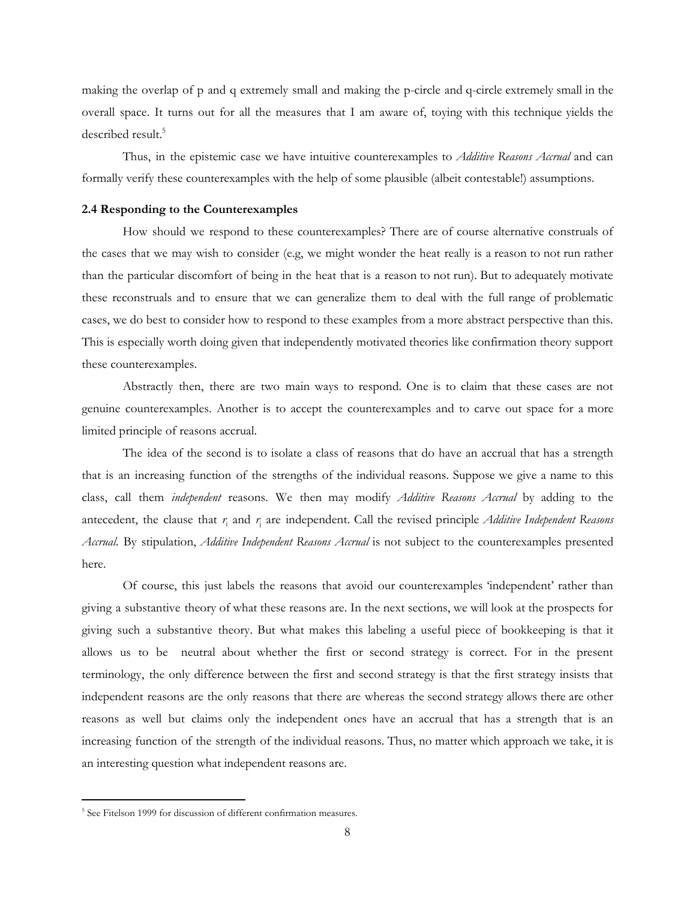making the overlap of p and q extremely small and making the p-circle and q-circle extremely small in the overall space. It turns out for all the measures that I am aware of, toying with this technique yields the described result. 5

Thus, in the epistemic case we have intuitive counterexamples to *Additive Reasons Accrual* and can formally verify these counterexamples with the help of some plausible (albeit contestable!) assumptions.

#### **2.4 Responding to the Counterexamples**

How should we respond to these counterexamples? There are of course alternative construals of the cases that we may wish to consider (e.g, we might wonder the heat really is a reason to not run rather than the particular discomfort of being in the heat that is a reason to not run). But to adequately motivate these reconstruals and to ensure that we can generalize them to deal with the full range of problematic cases, we do best to consider how to respond to these examples from a more abstract perspective than this. This is especially worth doing given that independently motivated theories like confirmation theory support these counterexamples.

Abstractly then, there are two main ways to respond. One is to claim that these cases are not genuine counterexamples. Another is to accept the counterexamples and to carve out space for a more limited principle of reasons accrual.

The idea of the second is to isolate a class of reasons that do have an accrual that has a strength that is an increasing function of the strengths of the individual reasons. Suppose we give a name to this class, call them *independent* reasons. We then may modify *Additive Reasons Accrual* by adding to the antecedent, the clause that  $r_i$  and  $r_j$  are independent. Call the revised principle *Additive Independent Reasons Accrual*. By stipulation, *Additive Independent Reasons Accrual* is not subject to the counterexamples presented here.

Of course, this just labels the reasons that avoid our counterexamples 'independent' rather than giving a substantive theory of what these reasons are. In the next sections, we will look at the prospects for giving such a substantive theory. But what makes this labeling a useful piece of bookkeeping is that it allows us to be neutral about whether the first or second strategy is correct. For in the present terminology, the only difference between the first and second strategy is that the first strategy insists that independent reasons are the only reasons that there are whereas the second strategy allows there are other reasons as well but claims only the independent ones have an accrual that has a strength that is an increasing function of the strength of the individual reasons. Thus, no matter which approach we take, it is an interesting question what independent reasons are.

<sup>&</sup>lt;sup>5</sup> See Fitelson 1999 for discussion of different confirmation measures.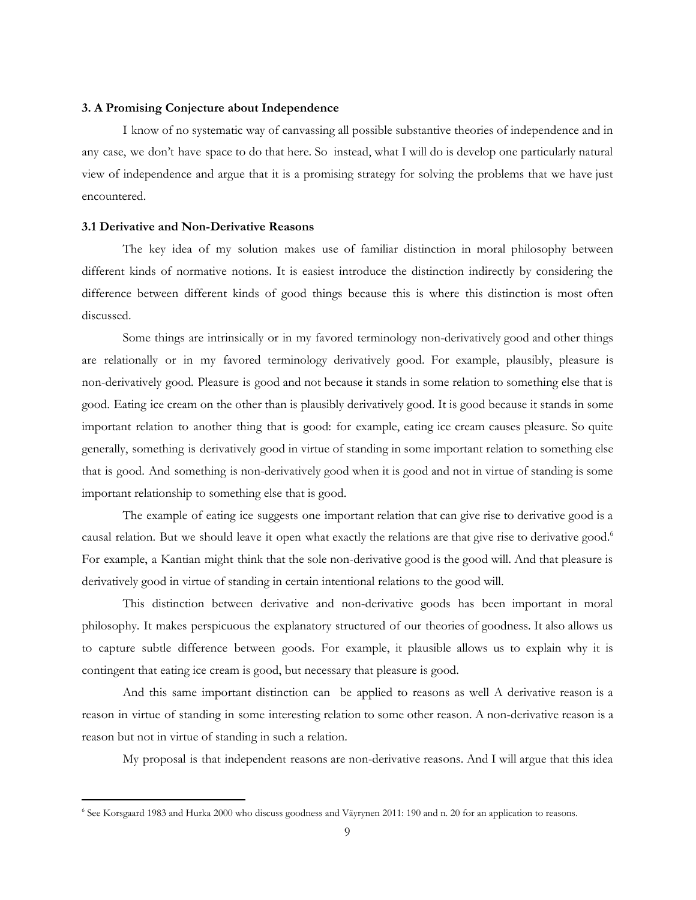## **3. A Promising Conjecture about Independence**

I know of no systematic way of canvassing all possible substantive theories of independence and in any case, we don't have space to do that here. So instead, what I will do is develop one particularly natural view of independence and argue that it is a promising strategy for solving the problems that we have just encountered.

#### **3.1 Derivative and Non-Derivative Reasons**

The key idea of my solution makes use of familiar distinction in moral philosophy between different kinds of normative notions. It is easiest introduce the distinction indirectly by considering the difference between different kinds of good things because this is where this distinction is most often discussed.

Some things are intrinsically or in my favored terminology non-derivatively good and other things are relationally or in my favored terminology derivatively good. For example, plausibly, pleasure is non-derivatively good. Pleasure is good and not because it stands in some relation to something else that is good. Eating ice cream on the other than is plausibly derivatively good. It is good because it stands in some important relation to another thing that is good: for example, eating ice cream causes pleasure. So quite generally, something is derivatively good in virtue of standing in some important relation to something else that is good. And something is non-derivatively good when it is good and not in virtue of standing is some important relationship to something else that is good.

The example of eating ice suggests one important relation that can give rise to derivative good is a causal relation. But we should leave it open what exactly the relations are that give rise to derivative good. 6 For example, a Kantian might think that the sole non-derivative good is the good will. And that pleasure is derivatively good in virtue of standing in certain intentional relations to the good will.

This distinction between derivative and non-derivative goods has been important in moral philosophy. It makes perspicuous the explanatory structured of our theories of goodness. It also allows us to capture subtle difference between goods. For example, it plausible allows us to explain why it is contingent that eating ice cream is good, but necessary that pleasure is good.

And this same important distinction can be applied to reasons as well A derivative reason is a reason in virtue of standing in some interesting relation to some other reason. A non-derivative reason is a reason but not in virtue of standing in such a relation.

My proposal is that independent reasons are non-derivative reasons. And I will argue that this idea

<sup>6</sup> See Korsgaard 1983 and Hurka 2000 who discuss goodness and Väyrynen 2011: 190 and n. 20 for an application to reasons.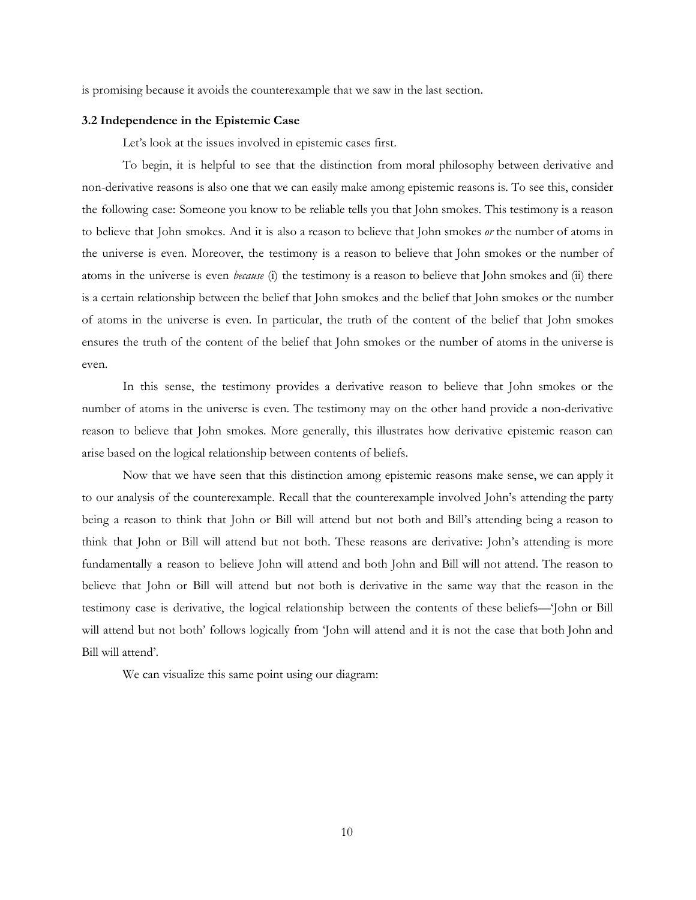is promising because it avoids the counterexample that we saw in the last section.

#### **3.2 Independence in the Epistemic Case**

Let's look at the issues involved in epistemic cases first.

To begin, it is helpful to see that the distinction from moral philosophy between derivative and non-derivative reasons is also one that we can easily make among epistemic reasons is. To see this, consider the following case: Someone you know to be reliable tells you that John smokes. This testimony is a reason to believe that John smokes. And it is also a reason to believe that John smokes *or* the number of atoms in the universe is even. Moreover, the testimony is a reason to believe that John smokes or the number of atoms in the universe is even *because* (i) the testimony is a reason to believe that John smokes and (ii) there is a certain relationship between the belief that John smokes and the belief that John smokes or the number of atoms in the universe is even. In particular, the truth of the content of the belief that John smokes ensures the truth of the content of the belief that John smokes or the number of atoms in the universe is even.

In this sense, the testimony provides a derivative reason to believe that John smokes or the number of atoms in the universe is even. The testimony may on the other hand provide a non-derivative reason to believe that John smokes. More generally, this illustrates how derivative epistemic reason can arise based on the logical relationship between contents of beliefs.

Now that we have seen that this distinction among epistemic reasons make sense, we can apply it to our analysis of the counterexample. Recall that the counterexample involved John's attending the party being a reason to think that John or Bill will attend but not both and Bill's attending being a reason to think that John or Bill will attend but not both. These reasons are derivative: John's attending is more fundamentally a reason to believe John will attend and both John and Bill will not attend. The reason to believe that John or Bill will attend but not both is derivative in the same way that the reason in the testimony case is derivative, the logical relationship between the contents of these beliefs—'John or Bill will attend but not both' follows logically from 'John will attend and it is not the case that both John and Bill will attend'.

We can visualize this same point using our diagram: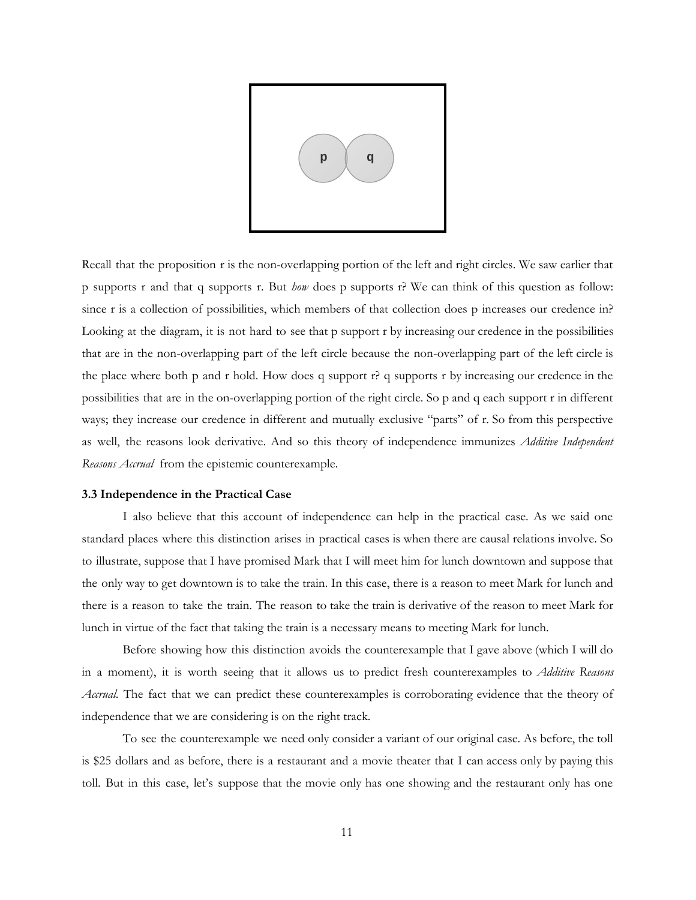

Recall that the proposition r is the non-overlapping portion of the left and right circles. We saw earlier that p supports r and that q supports r. But *how* does p supports r? We can think of this question as follow: since r is a collection of possibilities, which members of that collection does p increases our credence in? Looking at the diagram, it is not hard to see that p support r by increasing our credence in the possibilities that are in the non-overlapping part of the left circle because the non-overlapping part of the left circle is the place where both p and r hold. How does q support  $r$ ? q supports r by increasing our credence in the possibilities that are in the on-overlapping portion of the right circle. So p and q each support r in different ways; they increase our credence in different and mutually exclusive "parts" of r. So from this perspective as well, the reasons look derivative. And so this theory of independence immunizes *Additive Independent Reasons Accrual* from the epistemic counterexample.

#### **3.3 Independence in the Practical Case**

I also believe that this account of independence can help in the practical case. As we said one standard places where this distinction arises in practical cases is when there are causal relations involve. So to illustrate, suppose that I have promised Mark that I will meet him for lunch downtown and suppose that the only way to get downtown is to take the train. In this case, there is a reason to meet Mark for lunch and there is a reason to take the train. The reason to take the train is derivative of the reason to meet Mark for lunch in virtue of the fact that taking the train is a necessary means to meeting Mark for lunch.

Before showing how this distinction avoids the counterexample that I gave above (which I will do in a moment), it is worth seeing that it allows us to predict fresh counterexamples to *Additive Reasons Accrual*. The fact that we can predict these counterexamples is corroborating evidence that the theory of independence that we are considering is on the right track.

To see the counterexample we need only consider a variant of our original case. As before, the toll is \$25 dollars and as before, there is a restaurant and a movie theater that I can access only by paying this toll. But in this case, let's suppose that the movie only has one showing and the restaurant only has one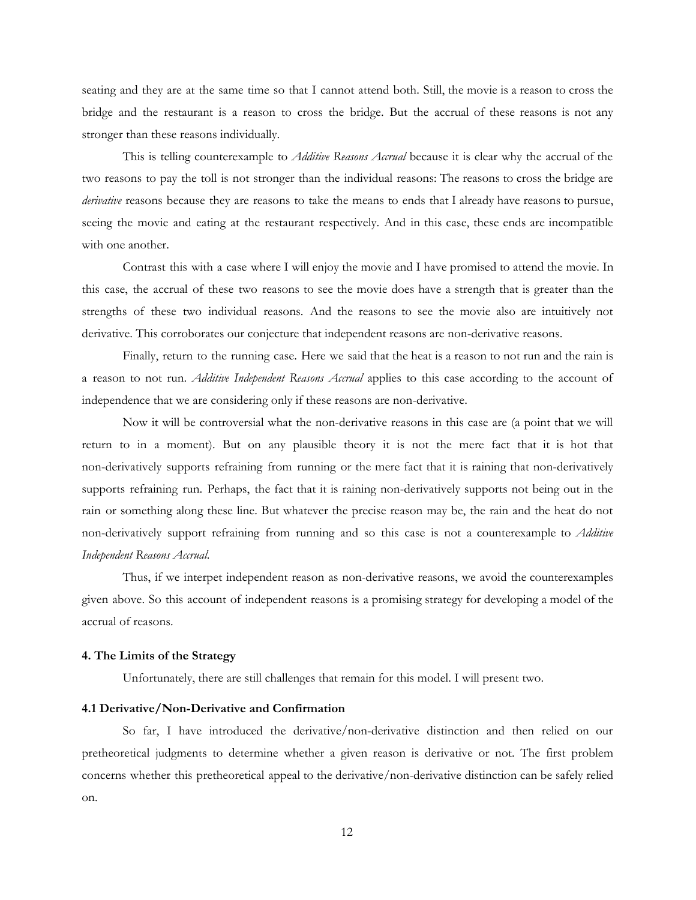seating and they are at the same time so that I cannot attend both. Still, the movie is a reason to cross the bridge and the restaurant is a reason to cross the bridge. But the accrual of these reasons is not any stronger than these reasons individually.

This is telling counterexample to *Additive Reasons Accrual* because it is clear why the accrual of the two reasons to pay the toll is not stronger than the individual reasons: The reasons to cross the bridge are *derivative* reasons because they are reasons to take the means to ends that I already have reasons to pursue, seeing the movie and eating at the restaurant respectively. And in this case, these ends are incompatible with one another.

Contrast this with a case where I will enjoy the movie and I have promised to attend the movie. In this case, the accrual of these two reasons to see the movie does have a strength that is greater than the strengths of these two individual reasons. And the reasons to see the movie also are intuitively not derivative. This corroborates our conjecture that independent reasons are non-derivative reasons.

Finally, return to the running case. Here we said that the heat is a reason to not run and the rain is a reason to not run. *Additive Independent Reasons Accrual* applies to this case according to the account of independence that we are considering only if these reasons are non-derivative.

Now it will be controversial what the non-derivative reasons in this case are (a point that we will return to in a moment). But on any plausible theory it is not the mere fact that it is hot that non-derivatively supports refraining from running or the mere fact that it is raining that non-derivatively supports refraining run. Perhaps, the fact that it is raining non-derivatively supports not being out in the rain or something along these line. But whatever the precise reason may be, the rain and the heat do not non-derivatively support refraining from running and so this case is not a counterexample to *Additive Independent Reasons Accrual*.

Thus, if we interpet independent reason as non-derivative reasons, we avoid the counterexamples given above. So this account of independent reasons is a promising strategy for developing a model of the accrual of reasons.

# **4. The Limits of the Strategy**

Unfortunately, there are still challenges that remain for this model. I will present two.

#### **4.1 Derivative/Non-Derivative and Confirmation**

So far, I have introduced the derivative/non-derivative distinction and then relied on our pretheoretical judgments to determine whether a given reason is derivative or not. The first problem concerns whether this pretheoretical appeal to the derivative/non-derivative distinction can be safely relied on.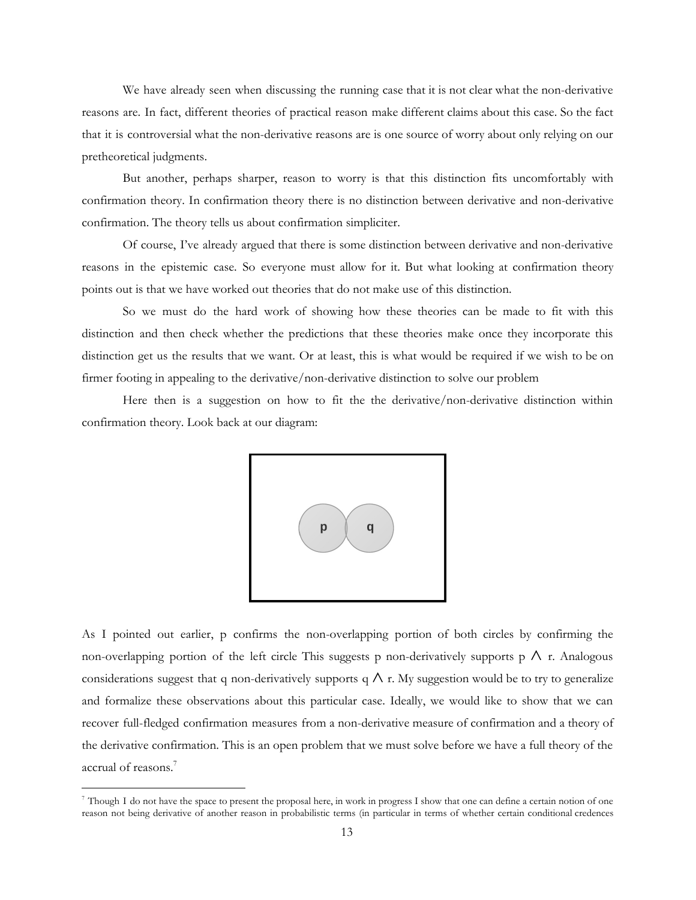We have already seen when discussing the running case that it is not clear what the non-derivative reasons are. In fact, different theories of practical reason make different claims about this case. So the fact that it is controversial what the non-derivative reasons are is one source of worry about only relying on our pretheoretical judgments.

But another, perhaps sharper, reason to worry is that this distinction fits uncomfortably with confirmation theory. In confirmation theory there is no distinction between derivative and non-derivative confirmation. The theory tells us about confirmation simpliciter.

Of course, I've already argued that there is some distinction between derivative and non-derivative reasons in the epistemic case. So everyone must allow for it. But what looking at confirmation theory points out is that we have worked out theories that do not make use of this distinction.

So we must do the hard work of showing how these theories can be made to fit with this distinction and then check whether the predictions that these theories make once they incorporate this distinction get us the results that we want. Or at least, this is what would be required if we wish to be on firmer footing in appealing to the derivative/non-derivative distinction to solve our problem

Here then is a suggestion on how to fit the the derivative/non-derivative distinction within confirmation theory. Look back at our diagram:



As I pointed out earlier, p confirms the non-overlapping portion of both circles by confirming the non-overlapping portion of the left circle This suggests p non-derivatively supports p  $\wedge$  r. Analogous considerations suggest that q non-derivatively supports q  $\wedge$  r. My suggestion would be to try to generalize and formalize these observations about this particular case. Ideally, we would like to show that we can recover full-fledged confirmation measures from a non-derivative measure of confirmation and a theory of the derivative confirmation. This is an open problem that we must solve before we have a full theory of the accrual of reasons. 7

 $^7$  Though I do not have the space to present the proposal here, in work in progress I show that one can define a certain notion of one reason not being derivative of another reason in probabilistic terms (in particular in terms of whether certain conditional credences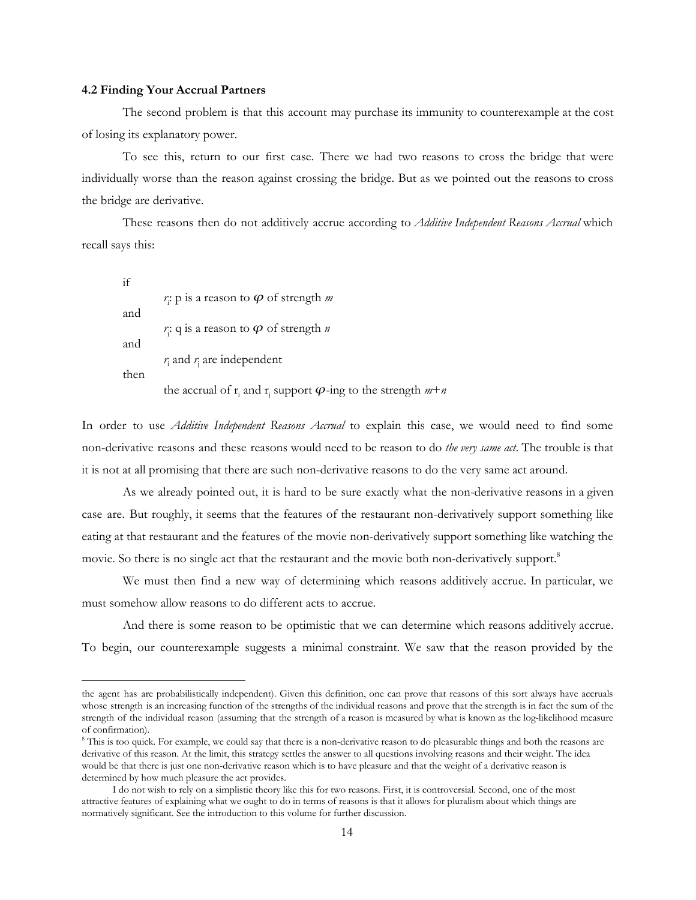#### **4.2 Finding Your Accrual Partners**

The second problem is that this account may purchase its immunity to counterexample at the cost of losing its explanatory power.

To see this, return to our first case. There we had two reasons to cross the bridge that were individually worse than the reason against crossing the bridge. But as we pointed out the reasons to cross the bridge are derivative.

These reasons then do not additively accrue according to *Additive Independent Reasons Accrual* which recall says this:

if *r* i : p is a reason to ᵱ of strength *m* and  $r$ <sup>2</sup>; q is a reason to  $\varphi$  of strength *n* and *r* <sup>i</sup> and *r* <sup>j</sup> are independent then the accrual of  $\mathbf{r}_i$  and  $\mathbf{r}_j$  support  $\boldsymbol{\varphi}$ -ing to the strength  $m+n$ 

In order to use *Additive Independent Reasons Accrual* to explain this case, we would need to find some non-derivative reasons and these reasons would need to be reason to do *the very same act*. The trouble is that it is not at all promising that there are such non-derivative reasons to do the very same act around.

As we already pointed out, it is hard to be sure exactly what the non-derivative reasons in a given case are. But roughly, it seems that the features of the restaurant non-derivatively support something like eating at that restaurant and the features of the movie non-derivatively support something like watching the movie. So there is no single act that the restaurant and the movie both non-derivatively support.<sup>8</sup>

We must then find a new way of determining which reasons additively accrue. In particular, we must somehow allow reasons to do different acts to accrue.

And there is some reason to be optimistic that we can determine which reasons additively accrue. To begin, our counterexample suggests a minimal constraint. We saw that the reason provided by the

the agent has are probabilistically independent). Given this definition, one can prove that reasons of this sort always have accruals whose strength is an increasing function of the strengths of the individual reasons and prove that the strength is in fact the sum of the strength of the individual reason (assuming that the strength of a reason is measured by what is known as the log-likelihood measure of confirmation).

<sup>&</sup>lt;sup>8</sup> This is too quick. For example, we could say that there is a non-derivative reason to do pleasurable things and both the reasons are derivative of this reason. At the limit, this strategy settles the answer to all questions involving reasons and their weight. The idea would be that there is just one non-derivative reason which is to have pleasure and that the weight of a derivative reason is determined by how much pleasure the act provides.

I do not wish to rely on a simplistic theory like this for two reasons. First, it is controversial. Second, one of the most attractive features of explaining what we ought to do in terms of reasons is that it allows for pluralism about which things are normatively significant. See the introduction to this volume for further discussion.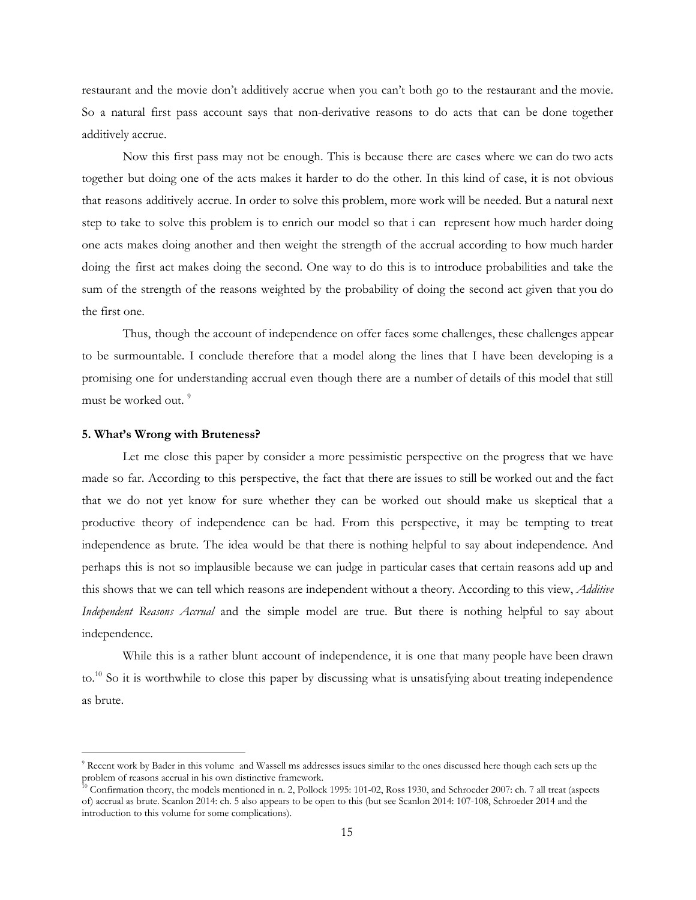restaurant and the movie don't additively accrue when you can't both go to the restaurant and the movie. So a natural first pass account says that non-derivative reasons to do acts that can be done together additively accrue.

Now this first pass may not be enough. This is because there are cases where we can do two acts together but doing one of the acts makes it harder to do the other. In this kind of case, it is not obvious that reasons additively accrue. In order to solve this problem, more work will be needed. But a natural next step to take to solve this problem is to enrich our model so that i can represent how much harder doing one acts makes doing another and then weight the strength of the accrual according to how much harder doing the first act makes doing the second. One way to do this is to introduce probabilities and take the sum of the strength of the reasons weighted by the probability of doing the second act given that you do the first one.

Thus, though the account of independence on offer faces some challenges, these challenges appear to be surmountable. I conclude therefore that a model along the lines that I have been developing is a promising one for understanding accrual even though there are a number of details of this model that still must be worked out. 9

#### **5. What's Wrong with Bruteness?**

Let me close this paper by consider a more pessimistic perspective on the progress that we have made so far. According to this perspective, the fact that there are issues to still be worked out and the fact that we do not yet know for sure whether they can be worked out should make us skeptical that a productive theory of independence can be had. From this perspective, it may be tempting to treat independence as brute. The idea would be that there is nothing helpful to say about independence. And perhaps this is not so implausible because we can judge in particular cases that certain reasons add up and this shows that we can tell which reasons are independent without a theory. According to this view, *Additive Independent Reasons Accrual* and the simple model are true. But there is nothing helpful to say about independence.

While this is a rather blunt account of independence, it is one that many people have been drawn to.<sup>10</sup> So it is worthwhile to close this paper by discussing what is unsatisfying about treating independence as brute.

<sup>&</sup>lt;sup>9</sup> Recent work by Bader in this volume and Wassell ms addresses issues similar to the ones discussed here though each sets up the problem of reasons accrual in his own distinctive framework.

 $^{10}$  Confirmation theory, the models mentioned in n. 2, Pollock 1995: 101-02, Ross 1930, and Schroeder 2007: ch. 7 all treat (aspects of) accrual as brute. Scanlon 2014: ch. 5 also appears to be open to this (but see Scanlon 2014: 107-108, Schroeder 2014 and the introduction to this volume for some complications).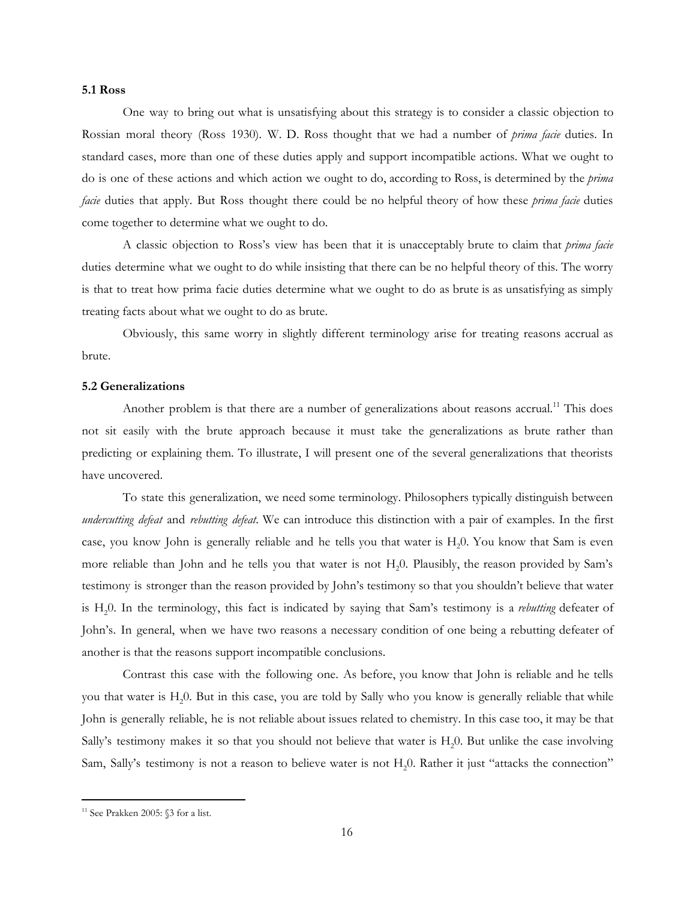# **5.1 Ross**

One way to bring out what is unsatisfying about this strategy is to consider a classic objection to Rossian moral theory (Ross 1930). W. D. Ross thought that we had a number of *prima facie* duties. In standard cases, more than one of these duties apply and support incompatible actions. What we ought to do is one of these actions and which action we ought to do, according to Ross, is determined by the *prima facie* duties that apply. But Ross thought there could be no helpful theory of how these *prima facie* duties come together to determine what we ought to do.

A classic objection to Ross's view has been that it is unacceptably brute to claim that *prima facie* duties determine what we ought to do while insisting that there can be no helpful theory of this. The worry is that to treat how prima facie duties determine what we ought to do as brute is as unsatisfying as simply treating facts about what we ought to do as brute.

Obviously, this same worry in slightly different terminology arise for treating reasons accrual as brute.

#### **5.2 Generalizations**

Another problem is that there are a number of generalizations about reasons accrual.<sup>11</sup> This does not sit easily with the brute approach because it must take the generalizations as brute rather than predicting or explaining them. To illustrate, I will present one of the several generalizations that theorists have uncovered.

To state this generalization, we need some terminology. Philosophers typically distinguish between *undercutting defeat* and *rebutting defeat*. We can introduce this distinction with a pair of examples. In the first case, you know John is generally reliable and he tells you that water is  $H<sub>2</sub>0$ . You know that Sam is even more reliable than John and he tells you that water is not H<sub>2</sub>0. Plausibly, the reason provided by Sam's testimony is stronger than the reason provided by John's testimony so that you shouldn't believe that water is H20. In the terminology, this fact is indicated by saying that Sam's testimony is a *rebutting* defeater of John's. In general, when we have two reasons a necessary condition of one being a rebutting defeater of another is that the reasons support incompatible conclusions.

Contrast this case with the following one. As before, you know that John is reliable and he tells you that water is H<sub>2</sub>0. But in this case, you are told by Sally who you know is generally reliable that while John is generally reliable, he is not reliable about issues related to chemistry. In this case too, it may be that Sally's testimony makes it so that you should not believe that water is  $H<sub>2</sub>0$ . But unlike the case involving Sam, Sally's testimony is not a reason to believe water is not H<sub>2</sub>0. Rather it just "attacks the connection"

<sup>&</sup>lt;sup>11</sup> See Prakken 2005: §3 for a list.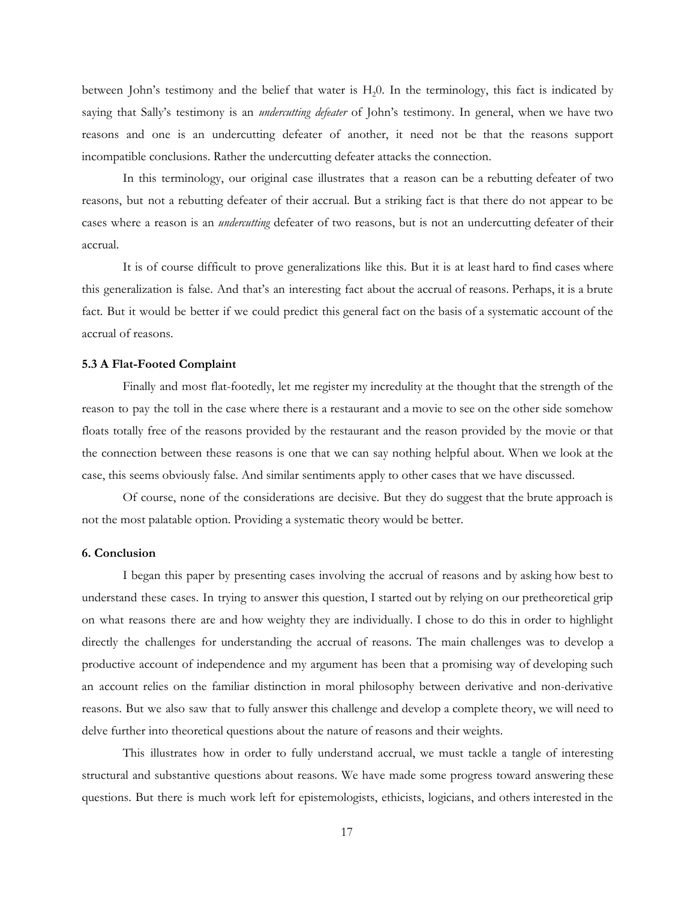between John's testimony and the belief that water is H<sub>2</sub>0. In the terminology, this fact is indicated by saying that Sally's testimony is an *undercutting defeater* of John's testimony. In general, when we have two reasons and one is an undercutting defeater of another, it need not be that the reasons support incompatible conclusions. Rather the undercutting defeater attacks the connection.

In this terminology, our original case illustrates that a reason can be a rebutting defeater of two reasons, but not a rebutting defeater of their accrual. But a striking fact is that there do not appear to be cases where a reason is an *undercutting* defeater of two reasons, but is not an undercutting defeater of their accrual.

It is of course difficult to prove generalizations like this. But it is at least hard to find cases where this generalization is false. And that's an interesting fact about the accrual of reasons. Perhaps, it is a brute fact. But it would be better if we could predict this general fact on the basis of a systematic account of the accrual of reasons.

#### **5.3 A Flat-Footed Complaint**

Finally and most flat-footedly, let me register my incredulity at the thought that the strength of the reason to pay the toll in the case where there is a restaurant and a movie to see on the other side somehow floats totally free of the reasons provided by the restaurant and the reason provided by the movie or that the connection between these reasons is one that we can say nothing helpful about. When we look at the case, this seems obviously false. And similar sentiments apply to other cases that we have discussed.

Of course, none of the considerations are decisive. But they do suggest that the brute approach is not the most palatable option. Providing a systematic theory would be better.

#### **6. Conclusion**

I began this paper by presenting cases involving the accrual of reasons and by asking how best to understand these cases. In trying to answer this question, I started out by relying on our pretheoretical grip on what reasons there are and how weighty they are individually. I chose to do this in order to highlight directly the challenges for understanding the accrual of reasons. The main challenges was to develop a productive account of independence and my argument has been that a promising way of developing such an account relies on the familiar distinction in moral philosophy between derivative and non-derivative reasons. But we also saw that to fully answer this challenge and develop a complete theory, we will need to delve further into theoretical questions about the nature of reasons and their weights.

This illustrates how in order to fully understand accrual, we must tackle a tangle of interesting structural and substantive questions about reasons. We have made some progress toward answering these questions. But there is much work left for epistemologists, ethicists, logicians, and others interested in the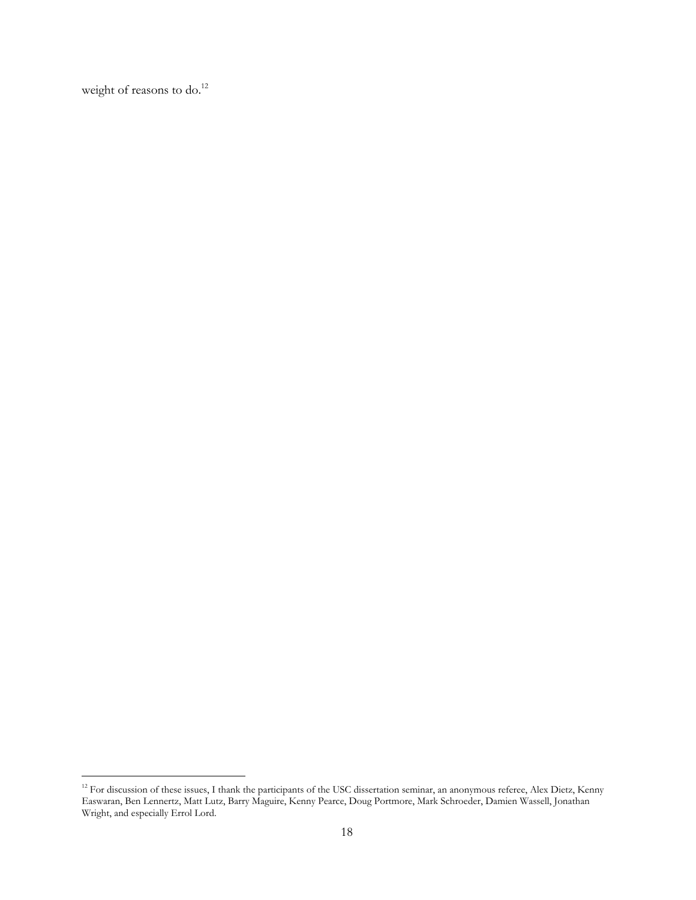weight of reasons to do.<sup>12</sup>

<sup>&</sup>lt;sup>12</sup> For discussion of these issues, I thank the participants of the USC dissertation seminar, an anonymous referee, Alex Dietz, Kenny Easwaran, Ben Lennertz, Matt Lutz, Barry Maguire, Kenny Pearce, Doug Portmore, Mark Schroeder, Damien Wassell, Jonathan Wright, and especially Errol Lord.